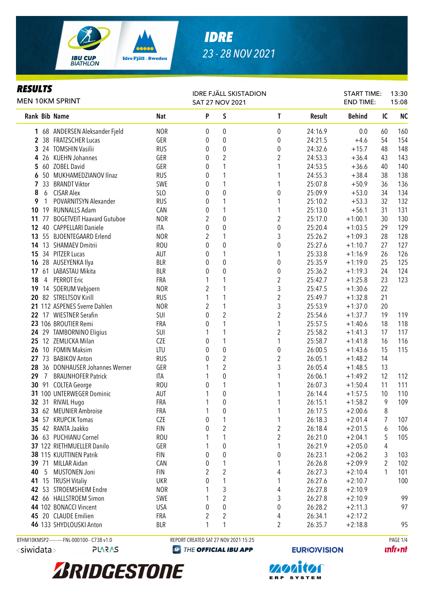

# *IDRE 23 - 28 NOV 2021*

### *RESULTS*

| \LJ V L I J<br>MEN 10KM SPRINT |                |                                                |                 | <b>SAT 27 NOV 2021</b> |                     | <b>IDRE FJÄLL SKISTADION</b> |                    | <b>START TIME:</b><br><b>END TIME:</b> |          | 13:30<br>15:08 |  |
|--------------------------------|----------------|------------------------------------------------|-----------------|------------------------|---------------------|------------------------------|--------------------|----------------------------------------|----------|----------------|--|
|                                |                | Rank Bib Name                                  | <b>Nat</b>      | P                      | S                   | $\mathbf{T}$                 | Result             | <b>Behind</b>                          | IC       | <b>NC</b>      |  |
|                                |                | 1 68 ANDERSEN Aleksander Fjeld                 | <b>NOR</b>      | 0                      | 0                   | $\boldsymbol{0}$             | 24:16.9            | 0.0                                    | 60       | 160            |  |
|                                |                | 2 38 FRATZSCHER Lucas                          | GER             | 0                      | $\boldsymbol{0}$    | $\boldsymbol{0}$             | 24:21.5            | $+4.6$                                 | 54       | 154            |  |
|                                |                | 3 24 TOMSHIN Vasilii                           | <b>RUS</b>      | $\boldsymbol{0}$       | $\boldsymbol{0}$    | 0                            | 24:32.6            | $+15.7$                                | 48       | 148            |  |
| 4                              |                | 26 KUEHN Johannes                              | GER             | 0                      | $\overline{2}$      | $\boldsymbol{2}$             | 24:53.3            | $+36.4$                                | 43       | 143            |  |
|                                |                | 5 60 ZOBEL David                               | GER             | 0                      | 1                   | 1                            | 24:53.5            | $+36.6$                                | 40       | 140            |  |
|                                |                | 6 50 MUKHAMEDZIANOV Ilnaz                      | <b>RUS</b>      | $\boldsymbol{0}$       | 1                   | 1                            | 24:55.3            | $+38.4$                                | 38       | 138            |  |
| 7                              |                | 33 BRANDT Viktor                               | SWE             | 0                      | 1                   | 1                            | 25:07.8            | $+50.9$                                | 36       | 136            |  |
| 8                              | 6              | <b>CISAR Alex</b>                              | SL <sub>O</sub> | 0                      | $\boldsymbol{0}$    | $\pmb{0}$                    | 25:09.9            | $+53.0$                                | 34       | 134            |  |
| 9                              | $\mathbf{1}$   | POVARNITSYN Alexander                          | <b>RUS</b>      | 0                      | 1                   | 1                            | 25:10.2            | $+53.3$                                | 32       | 132            |  |
|                                |                | 10 19 RUNNALLS Adam                            | CAN             | 0                      | $\mathbf{1}$        | 1                            | 25:13.0            | $+56.1$                                | 31       | 131            |  |
| 11                             | 77             | <b>BOGETVEIT Haavard Gutuboe</b>               | <b>NOR</b>      | $\overline{2}$         | $\pmb{0}$           | $\overline{2}$               | 25:17.0            | $+1:00.1$                              | 30       | 130            |  |
| $12 \,$                        | 40             | <b>CAPPELLARI Daniele</b>                      | ITA             | 0                      | $\boldsymbol{0}$    | $\pmb{0}$                    | 25:20.4            | $+1:03.5$                              | 29       | 129            |  |
| 13                             |                | 55 BJOENTEGAARD Erlend                         | <b>NOR</b>      | $\overline{2}$         | $\mathbf{1}$        | 3                            | 25:26.2            | $+1:09.3$                              | 28       | 128            |  |
|                                |                | 14 13 SHAMAEV Dmitrii                          | <b>ROU</b>      | 0                      | $\mathbf 0$         | $\boldsymbol{0}$             | 25:27.6            | $+1:10.7$                              | 27       | 127            |  |
|                                |                | 15 34 PITZER Lucas                             | AUT             | 0                      | 1                   | 1                            | 25:33.8            | $+1:16.9$                              | 26       | 126            |  |
|                                |                | 16 28 AUSEYENKA Ilya                           | <b>BLR</b>      | $\theta$               | $\mathbf 0$         | $\pmb{0}$                    | 25:35.9            | $+1:19.0$                              | 25       | 125            |  |
|                                | 17,61          | LABASTAU Mikita                                | <b>BLR</b>      | 0                      | $\mathbf 0$         | $\boldsymbol{0}$             | 25:36.2            | $+1:19.3$                              | 24       | 124            |  |
| 18                             |                | 4 PERROT Eric                                  | FRA             | 1                      | 1                   | $\overline{c}$               | 25:42.7            | $+1:25.8$                              | 23       | 123            |  |
|                                |                | 19 14 SOERUM Vebjoern                          | <b>NOR</b>      | 2                      | 1                   | 3                            | 25:47.5            | $+1:30.6$                              | 22       |                |  |
|                                |                | 20 82 STRELTSOV Kirill                         | <b>RUS</b>      | 1                      | 1                   | $\overline{2}$               | 25:49.7            | $+1:32.8$                              | 21       |                |  |
|                                |                | 21 112 ASPENES Sverre Dahlen                   | <b>NOR</b>      | $\overline{2}$         | 1                   | 3                            | 25:53.9            | $+1:37.0$                              | 20       |                |  |
|                                |                | 22 17 WIESTNER Serafin<br>23 106 BROUTIER Remi | SUI<br>FRA      | $\mathbf 0$<br>0       | $\overline{2}$<br>1 | 2<br>1                       | 25:54.6<br>25:57.5 | $+1:37.7$<br>$+1:40.6$                 | 19<br>18 | 119<br>118     |  |
|                                |                | 24 29 TAMBORNINO Eligius                       | SUI             | 1                      | 1                   | 2                            | 25:58.2            | $+1:41.3$                              | 17       | 117            |  |
|                                |                | 25 12 ZEMLICKA Milan                           | CZE             | $\boldsymbol{0}$       | $\mathbf{1}$        | 1                            | 25:58.7            | $+1:41.8$                              | 16       | 116            |  |
|                                |                | 26 10 FOMIN Maksim                             | LTU             | 0                      | $\pmb{0}$           | $\pmb{0}$                    | 26:00.5            | $+1:43.6$                              | 15       | 115            |  |
|                                |                | 27 73 BABIKOV Anton                            | <b>RUS</b>      | $\boldsymbol{0}$       | $\sqrt{2}$          | $\boldsymbol{2}$             | 26:05.1            | $+1:48.2$                              | 14       |                |  |
|                                |                | 28 36 DONHAUSER Johannes Werner                | GER             | 1                      | $\overline{2}$      | 3                            | 26:05.4            | $+1:48.5$                              | 13       |                |  |
| 29                             | $\overline{7}$ | <b>BRAUNHOFER Patrick</b>                      | <b>ITA</b>      |                        | $\pmb{0}$           |                              | 26:06.1            | $+1:49.2$                              | 12       | 112            |  |
|                                |                | 30 91 COLTEA George                            | <b>ROU</b>      | 0                      | $\mathbf 1$         |                              | 26:07.3            | $+1:50.4$                              | 11       | 111            |  |
|                                |                | 31 100 UNTERWEGER Dominic                      | AUT             |                        | $\boldsymbol{0}$    |                              | 26:14.4            | $+1:57.5$                              | 10       | 110            |  |
|                                |                | 32 31 RIVAIL Hugo                              | FRA             | 1                      | $\pmb{0}$           | 1                            | 26:15.1            | $+1:58.2$                              | 9        | 109            |  |
|                                |                | 33 62 MEUNIER Ambroise                         | FRA             |                        | $\pmb{0}$           |                              | 26:17.5            | $+2:00.6$                              | $\, 8$   |                |  |
|                                |                | 34 57 KRUPCIK Tomas                            | CZE             | 0                      | 1                   |                              | 26:18.3            | $+2:01.4$                              | 7        | 107            |  |
|                                |                | 35 42 RANTA Jaakko                             | <b>FIN</b>      | 0                      | $\overline{2}$      | $\boldsymbol{2}$             | 26:18.4            | $+2:01.5$                              | 6        | 106            |  |
|                                |                | 36 63 PUCHIANU Cornel                          | <b>ROU</b>      |                        | 1                   | $\overline{2}$               | 26:21.0            | $+2:04.1$                              | 5        | 105            |  |
|                                |                | 37 122 RIETHMUELLER Danilo                     | GER             |                        | 0                   | 1                            | 26:21.9            | $+2:05.0$                              | 4        |                |  |
|                                |                | 38 115 KUUTTINEN Patrik                        | <b>FIN</b>      | 0                      | $\boldsymbol{0}$    | $\pmb{0}$                    | 26:23.1            | $+2:06.2$                              | 3        | 103            |  |
|                                |                | 39 71 MILLAR Aidan                             | CAN             | 0                      | 1                   | 1                            | 26:26.8            | $+2:09.9$                              | 2        | 102            |  |
| 40                             |                | 5 MUSTONEN Joni                                | <b>FIN</b>      | 2                      | $\overline{2}$      | 4                            | 26:27.3            | $+2:10.4$                              | 1        | 101            |  |
|                                |                | 41 15 TRUSH Vitaliy                            | <b>UKR</b>      | 0                      | 1                   | 1                            | 26:27.6            | $+2:10.7$                              |          | 100            |  |
|                                |                | 42 53 STROEMSHEIM Endre                        | <b>NOR</b>      | 1                      | 3                   | 4                            | 26:27.8            | $+2:10.9$                              |          |                |  |
|                                |                | 42 66 HALLSTROEM Simon                         | <b>SWE</b>      | 1                      | $\overline{2}$      | 3                            | 26:27.8            | $+2:10.9$                              |          | 99             |  |
|                                |                | 44 102 BONACCI Vincent                         | <b>USA</b>      | 0                      | 0                   | 0                            | 26:28.2            | $+2:11.3$                              |          | 97             |  |
|                                |                | 45 20 CLAUDE Emilien                           | FRA             | $\overline{2}$         | $\overline{2}$      | 4                            | 26:34.1            | $+2:17.2$                              |          |                |  |
|                                |                | 46 133 SHYDLOUSKI Anton                        | <b>BLR</b>      | 1                      | 1                   | 2                            | 26:35.7            | $+2:18.8$                              |          | 95             |  |

245/15 <siwidata>

BTHM10KMSP2----------FNL-000100-- C73B v1.0 REPORT CREATED SAT 27 NOV 2021 15:25 PAGE 1/4

**EXP THE OFFICIAL IBU APP** 

**EURIO)VISION** 



**політог** ERP SYSTEM

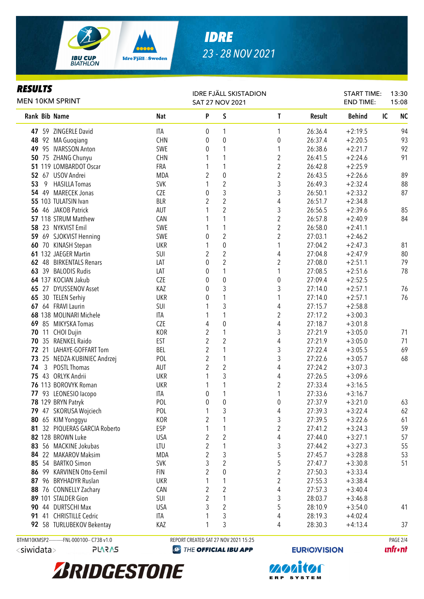

# *IDRE 23 - 28 NOV 2021*

## *RESULTS*

| rejulij<br><b>MEN 10KM SPRINT</b>               |                   | <b>IDRE FJÄLL SKISTADION</b><br><b>SAT 27 NOV 2021</b> |                                      |                  |                     | <b>START TIME:</b><br><b>END TIME:</b> | 13:30<br>15:08  |
|-------------------------------------------------|-------------------|--------------------------------------------------------|--------------------------------------|------------------|---------------------|----------------------------------------|-----------------|
| <b>Rank Bib Name</b>                            | <b>Nat</b>        | P                                                      | S                                    | L                | Result              | <b>Behind</b>                          | <b>NC</b><br>IC |
| 47 59 ZINGERLE David                            | <b>ITA</b>        | 0                                                      | $\mathbf{1}$                         | 1                | 26:36.4             | $+2:19.5$                              | 94              |
| 48 92 MA Guoqiang                               | <b>CHN</b>        | 0                                                      | $\boldsymbol{0}$                     | 0                | 26:37.4             | $+2:20.5$                              | 93              |
| 49 95 IVARSSON Anton                            | SWE               | 0                                                      | 1                                    | 1                | 26:38.6             | $+2:21.7$                              | 92              |
| 50 75 ZHANG Chunyu                              | <b>CHN</b>        |                                                        | 1                                    | $\overline{c}$   | 26:41.5             | $+2:24.6$                              | 91              |
| 51 119 LOMBARDOT Oscar                          | FRA               |                                                        | 1                                    | $\overline{c}$   | 26:42.8             | $+2:25.9$                              |                 |
| 52 67 USOV Andrei                               | <b>MDA</b>        | $\overline{2}$                                         | $\pmb{0}$                            | $\overline{2}$   | 26:43.5             | $+2:26.6$                              | 89              |
| 53<br>9<br><b>HASILLA Tomas</b>                 | <b>SVK</b>        | 1                                                      | $\overline{2}$                       | 3                | 26:49.3             | $+2:32.4$                              | 88              |
| 54 49 MARECEK Jonas                             | <b>CZE</b>        | 0                                                      | $\mathfrak{Z}$                       | 3                | 26:50.1             | $+2:33.2$                              | 87              |
| 55 103 TULATSIN Ivan                            | <b>BLR</b>        | 2                                                      | $\overline{2}$                       | 4                | 26:51.7             | $+2:34.8$                              |                 |
| 56 46 JAKOB Patrick                             | AUT               |                                                        | $\overline{2}$                       | 3                | 26:56.5             | $+2:39.6$                              | 85              |
| 57 118 STRUM Matthew                            | CAN               |                                                        | $\mathbf{1}$                         | $\overline{2}$   | 26:57.8             | $+2:40.9$                              | 84              |
| 58 23 NYKVIST Emil                              | SWE               |                                                        | $\mathbf{1}$                         | $\overline{c}$   | 26:58.0             | $+2:41.1$                              |                 |
| 59 69 SJOKVIST Henning                          | <b>SWE</b>        | 0                                                      | $\overline{2}$                       | $\overline{2}$   | 27:03.1             | $+2:46.2$                              |                 |
| 60 70 KINASH Stepan                             | <b>UKR</b>        | 1                                                      | $\boldsymbol{0}$                     | 1                | 27:04.2             | $+2:47.3$                              | 81              |
| 61 132 JAEGER Martin                            | SUI               | 2                                                      | $\overline{2}$                       | 4                | 27:04.8             | $+2:47.9$                              | $80\,$          |
| 62 48 BIRKENTALS Renars                         | LAT               | 0                                                      | $\overline{2}$                       | $\boldsymbol{2}$ | 27:08.0             | $+2:51.1$                              | 79              |
| 63 39 BALODIS Rudis                             | LAT               | 0                                                      | 1                                    | 1                | 27:08.5             | $+2:51.6$                              | 78              |
| 64 137 KOCIAN Jakub                             | <b>CZE</b>        | 0                                                      | $\boldsymbol{0}$                     | 0                | 27:09.4             | $+2:52.5$                              |                 |
| 65 27 DYUSSENOV Asset                           | KAZ               | 0                                                      | $\mathfrak{Z}$                       | 3                | 27:14.0             | $+2:57.1$                              | 76              |
| 65 30 TELEN Serhiy                              | <b>UKR</b>        | 0                                                      | 1                                    | 1                | 27:14.0             | $+2:57.1$                              | 76              |
| 67 64 FRAVI Laurin                              | SUI               | 1                                                      | $\sqrt{3}$                           | 4                | 27:15.7             | $+2:58.8$                              |                 |
| 68 138 MOLINARI Michele                         | <b>ITA</b>        |                                                        | $\mathbf{1}$                         | $\overline{c}$   | 27:17.2             | $+3:00.3$                              |                 |
| 69 85 MIKYSKA Tomas                             | CZE               | 4                                                      | $\boldsymbol{0}$                     | 4                | 27:18.7             | $+3:01.8$                              |                 |
| 70 11 CHOI Dujin                                | <b>KOR</b>        | $\overline{2}$                                         | $\mathbf{1}$                         | 3                | 27:21.9             | $+3:05.0$                              | 71              |
| 70 35 RAENKEL Raido                             | <b>EST</b>        | $\overline{2}$                                         | $\overline{2}$                       | 4                | 27:21.9             | $+3:05.0$                              | 71              |
| 72 21 LAHAYE-GOFFART Tom                        | BEL               | $\overline{2}$                                         | $\mathbf{1}$                         | 3                | 27:22.4             | $+3:05.5$                              | 69              |
| 73 25 NEDZA-KUBINIEC Andrzej                    | POL               | $\overline{2}$                                         | $\mathbf{1}$                         | 3                | 27:22.6             | $+3:05.7$                              | 68              |
| $\mathbf{3}$<br>POSTL Thomas<br>74              | AUT               | $\overline{2}$                                         | $\sqrt{2}$                           | 4                | 27:24.2             | $+3:07.3$                              |                 |
| 75 43 ORLYK Andrii                              | <b>UKR</b>        | 1                                                      | $\mathfrak{Z}$                       | 4                | 27:26.5             | $+3:09.6$                              |                 |
| 76 113 BOROVYK Roman                            | <b>UKR</b>        | 1                                                      | $\mathbf{1}$                         | 2                | 27:33.4             | $+3:16.5$                              |                 |
| 77 93 LEONESIO lacopo                           | ITA               | 0                                                      | $\mathbf{1}$                         | 1                | 27:33.6             | $+3:16.7$                              |                 |
| 78 129 BRYN Patryk                              | POL               | $\theta$                                               | $\mathbf 0$                          | 0                | 27:37.9             | $+3:21.0$                              | 63              |
| 79 47 SKORUSA Wojciech                          | POL               |                                                        | 3                                    | 4                | 27:39.3             | $+3:22.4$                              | 62              |
| 80 65 KIM Yonggyu<br>32 PIQUERAS GARCIA Roberto | <b>KOR</b>        | 2                                                      | 1                                    | 3                | 27:39.5             | $+3:22.6$                              | 61              |
| 81<br>82 128 BROWN Luke                         | <b>ESP</b>        |                                                        |                                      | 2                | 27:41.2             | $+3:24.3$                              | 59              |
| 83 56 MACKINE Jokubas                           | <b>USA</b><br>LTU | 2<br>2                                                 | $\overline{c}$<br>1                  | 4                | 27:44.0             | $+3:27.1$                              | 57              |
| 84 22 MAKAROV Maksim                            |                   | $\overline{c}$                                         |                                      | 3                | 27:44.2<br>27:45.7  | $+3:27.3$                              | 55              |
| 85 54 BARTKO Simon                              | MDA<br><b>SVK</b> | 3                                                      | 3<br>$\overline{c}$                  | 5<br>5           | 27:47.7             | $+3:28.8$                              | 53<br>51        |
| 86 99 KARVINEN Otto-Eemil                       | <b>FIN</b>        | 2                                                      | $\boldsymbol{0}$                     | 2                | 27:50.3             | $+3:30.8$<br>$+3:33.4$                 |                 |
| 87 96 BRYHADYR Ruslan                           | <b>UKR</b>        | 1                                                      | 1                                    | $\boldsymbol{2}$ | 27:55.3             | $+3:38.4$                              |                 |
| 88 76 CONNELLY Zachary                          | CAN               | $\boldsymbol{2}$                                       | $\overline{2}$                       | 4                | 27:57.3             | $+3:40.4$                              |                 |
| 89 101 STALDER Gion                             | SUI               | $\overline{2}$                                         | 1                                    | 3                | 28:03.7             | $+3:46.8$                              |                 |
| 90 44 DURTSCHI Max                              | <b>USA</b>        | 3                                                      | $\sqrt{2}$                           | 5                | 28:10.9             | $+3:54.0$                              | 41              |
| 41 CHRISTILLE Cedric<br>91                      | <b>ITA</b>        |                                                        | $\sqrt{3}$                           | 4                | 28:19.3             | $+4:02.4$                              |                 |
| 92 58 TURLUBEKOV Bekentay                       | KAZ               | 1                                                      | 3                                    | 4                | 28:30.3             | $+4:13.4$                              | 37              |
| BTHM10KMSP2-----------FNL-000100-- C73B v1.0    |                   |                                                        | REPORT CREATED SAT 27 NOV 2021 15:25 |                  |                     |                                        | PAGE 2/4        |
| <siwidata><br/><b>PLARAS</b></siwidata>         |                   |                                                        | <b>@ THE OFFICIAL IBU APP</b>        |                  | <b>EURIO)VISION</b> |                                        | <b>unfront</b>  |







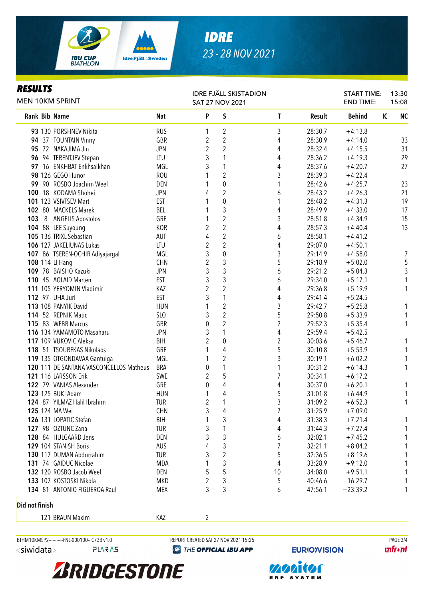

### *RESULTS*

|  | MEN 10KM SPRINT                         |            | <b>SAT 27 NOV 2021</b> |                         | <b>IDRE FJÄLL SKISTADION</b> |         | <b>START TIME:</b><br><b>END TIME:</b> | 13:30<br>15:08  |
|--|-----------------------------------------|------------|------------------------|-------------------------|------------------------------|---------|----------------------------------------|-----------------|
|  | Rank Bib Name                           | <b>Nat</b> | P                      | S                       | T                            | Result  | <b>Behind</b>                          | <b>NC</b><br>IC |
|  | 93 130 PORSHNEV Nikita                  | <b>RUS</b> | 1                      | 2                       | 3                            | 28:30.7 | $+4:13.8$                              |                 |
|  | 94 37 FOUNTAIN Vinny                    | GBR        | $\overline{c}$         | $\sqrt{2}$              | 4                            | 28:30.9 | $+4:14.0$                              | 33              |
|  | 95 72 NAKAJIMA Jin                      | <b>JPN</b> | $\overline{c}$         | $\sqrt{2}$              | 4                            | 28:32.4 | $+4:15.5$                              | 31              |
|  | 96 94 TERENTJEV Stepan                  | LTU        | 3                      |                         | 4                            | 28:36.2 | $+4:19.3$                              | 29              |
|  | 97 16 ENKHBAT Enkhsaikhan               | MGL        | 3                      | 1                       | 4                            | 28:37.6 | $+4:20.7$                              | 27              |
|  | 98 126 GEGO Hunor                       | <b>ROU</b> |                        | $\overline{2}$          | 3                            | 28:39.3 | $+4:22.4$                              |                 |
|  | 99 90 ROSBO Joachim Weel                | DEN        | 1                      | $\pmb{0}$               |                              | 28:42.6 | $+4:25.7$                              | 23              |
|  | 100 18 KODAMA Shohei                    | <b>JPN</b> | 4                      | $\overline{2}$          | 6                            | 28:43.2 | $+4:26.3$                              | 21              |
|  | 101 123 VSIVTSEV Mart                   | <b>EST</b> |                        | $\pmb{0}$               | 1                            | 28:48.2 | $+4:31.3$                              | 19              |
|  | 102 80 MACKELS Marek                    | BEL        |                        | 3                       | 4                            | 28:49.9 | $+4:33.0$                              | 17              |
|  | 103 8 ANGELIS Apostolos                 | GRE        |                        | $\overline{c}$          | 3                            | 28:51.8 | $+4:34.9$                              | 15              |
|  | 104 88 LEE Suyoung                      | KOR        | $\overline{2}$         | $\overline{2}$          | 4                            | 28:57.3 | $+4:40.4$                              | 13              |
|  | 105 136 TRIXL Sebastian                 | AUT        | 4                      | $\overline{2}$          | 6                            | 28:58.1 | $+4:41.2$                              |                 |
|  | 106 127 JAKELIUNAS Lukas                | LTU        | $\overline{2}$         | $\overline{2}$          | 4                            | 29:07.0 | $+4:50.1$                              |                 |
|  | 107 86 TSEREN-OCHIR Adiyajargal         | MGL        | 3                      | 0                       | 3                            | 29:14.9 | $+4:58.0$                              | 7               |
|  | 108 114 LI Hang                         | <b>CHN</b> | $\overline{2}$         | 3                       | 5                            | 29:18.9 | $+5:02.0$                              | 5               |
|  | 109 78 BAISHO Kazuki                    | <b>JPN</b> | 3                      | 3                       | 6                            | 29:21.2 | $+5:04.3$                              | 3               |
|  | 110 45 AOLAID Marten                    | <b>EST</b> | 3                      | 3                       | 6                            | 29:34.0 | $+5:17.1$                              | 1               |
|  | 111 105 YERYOMIN Vladimir               | KAZ        | $\overline{2}$         | $\overline{2}$          | 4                            | 29:36.8 | $+5:19.9$                              | 1               |
|  | <b>112 97 UHA Juri</b>                  | <b>EST</b> | 3                      | 1                       | 4                            | 29:41.4 | $+5:24.5$                              |                 |
|  | 113 108 PANYIK David                    | <b>HUN</b> |                        | $\overline{2}$          | 3                            | 29:42.7 | $+5:25.8$                              | 1               |
|  | 114 52 REPNIK Matic                     | SLO        | 3                      | $\overline{2}$          | 5                            | 29:50.8 | $+5:33.9$                              | 1               |
|  | 115 83 WEBB Marcus                      | GBR        | $\pmb{0}$              | $\overline{2}$          | 2                            | 29:52.3 | $+5:35.4$                              | 1               |
|  | 116 134 YAMAMOTO Masaharu               | <b>JPN</b> | 3                      | 1                       | 4                            | 29:59.4 | $+5:42.5$                              |                 |
|  | 117 109 VUKOVIC Aleksa                  | <b>BIH</b> | $\overline{2}$         | 0                       | $\boldsymbol{2}$             | 30:03.6 | $+5:46.7$                              | 1               |
|  | 118 51 TSOUREKAS Nikolaos               | GRE        |                        | 4                       | 5                            | 30:10.8 | $+5:53.9$                              | 1               |
|  | 119 135 OTGONDAVAA Gantulga             | MGL        |                        | $\sqrt{2}$              | 3                            | 30:19.1 | $+6:02.2$                              | 1               |
|  | 120 111 DE SANTANA VASCONCELLOS Matheus | <b>BRA</b> | $\pmb{0}$              | 1                       |                              | 30:31.2 | $+6:14.3$                              | 1               |
|  | 121 116 LARSSON Erik                    | SWE        | $\overline{2}$         | 5                       | 7                            | 30:34.1 | $+6:17.2$                              |                 |
|  | 122 79 VANIAS Alexander                 | GRE        | 0                      | 4                       | 4                            | 30:37.0 | $+6:20.1$                              | 1               |
|  | 123 125 BUKI Adam                       | <b>HUN</b> | 1                      | 4                       | 5                            | 31:01.8 | $+6:44.9$                              | 1               |
|  | 124 87 YILMAZ Halil Ibrahim             | <b>TUR</b> | $\overline{2}$         | 1                       | 3                            | 31:09.2 | $+6:52.3$                              | 1               |
|  | 125 124 MA Wei                          | CHN        | 3                      | 4                       |                              | 31:25.9 | $+7:09.0$                              |                 |
|  | 126 131 LOPATIC Stefan                  | <b>BIH</b> |                        | 3                       | 4                            | 31:38.3 | $+7:21.4$                              |                 |
|  | 127 98 OZTUNC Zana                      | <b>TUR</b> | 3                      |                         | 4                            | 31:44.3 | $+7:27.4$                              |                 |
|  | 128 84 HULGAARD Jens                    | DEN        | 3                      | 3                       | 6                            | 32:02.1 | $+7:45.2$                              |                 |
|  | 129 104 STANISH Boris                   | AUS        | 4                      | 3                       | 7                            | 32:21.1 | $+8:04.2$                              |                 |
|  | 130 117 DUMAN Abdurrahim                | <b>TUR</b> | 3                      | $\overline{\mathbf{c}}$ | 5                            | 32:36.5 | $+8:19.6$                              |                 |
|  | 131 74 GAIDUC Nicolae                   | MDA        | 1                      | 3                       | 4                            | 33:28.9 | $+9:12.0$                              |                 |
|  | 132 120 ROSBO Jacob Weel                | DEN        | 5                      | 5                       | 10                           | 34:08.0 | $+9:51.1$                              |                 |
|  | 133 107 KOSTOSKI Nikola                 | MKD        | 2                      | 3                       | 5                            | 40:46.6 | $+16:29.7$                             | 1               |
|  | 134 81 ANTONIO FIGUEROA Raul            | MEX        | 3                      | 3                       | 6                            | 47:56.1 | $+23:39.2$                             | 1               |
|  |                                         |            |                        |                         |                              |         |                                        |                 |

#### Did not finish

121 BRAUN Maxim **KAZ** 2

<siwidata>

BTHM10KMSP2---------FNL-000100-- C73B v1.0 REPORT CREATED SAT 27 NOV 2021 15:25 RAGE 3/4<br>
REPORT CREATED SAT 27 NOV 2021 15:25 RAGE 3/4 PAGE 3/4

**EXP THE OFFICIAL IBU APP** 

**EURIO)VISION** 

**unfront**